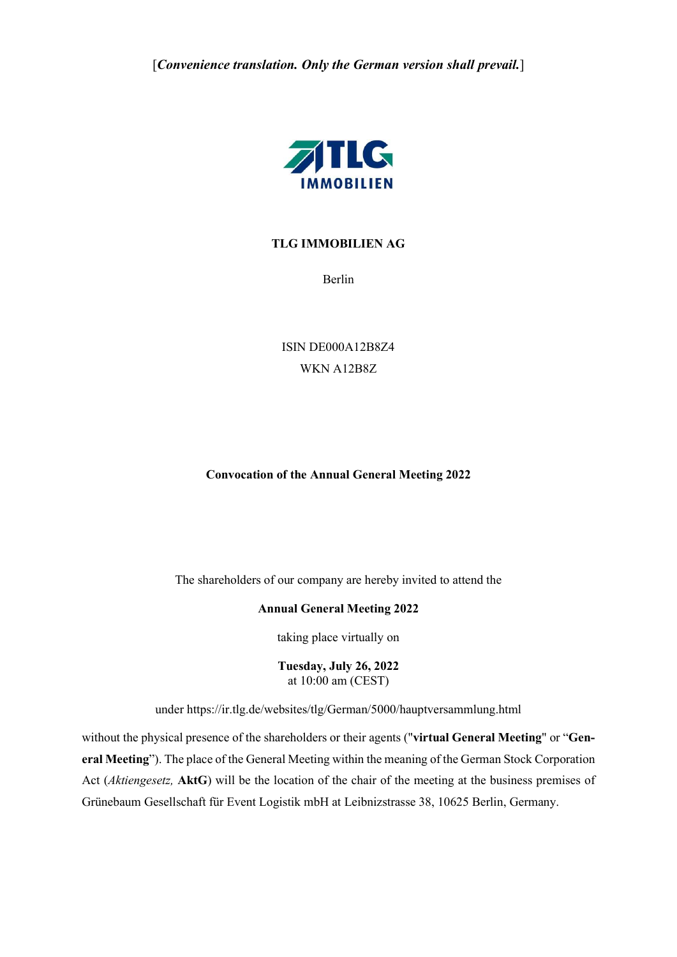

## TLG IMMOBILIEN AG

Berlin

ISIN DE000A12B8Z4 WKN A12B8Z

## Convocation of the Annual General Meeting 2022

The shareholders of our company are hereby invited to attend the

### Annual General Meeting 2022

taking place virtually on

Tuesday, July 26, 2022 at 10:00 am (CEST)

under https://ir.tlg.de/websites/tlg/German/5000/hauptversammlung.html

without the physical presence of the shareholders or their agents ("virtual General Meeting" or "General Meeting"). The place of the General Meeting within the meaning of the German Stock Corporation Act (Aktiengesetz, AktG) will be the location of the chair of the meeting at the business premises of Grünebaum Gesellschaft für Event Logistik mbH at Leibnizstrasse 38, 10625 Berlin, Germany.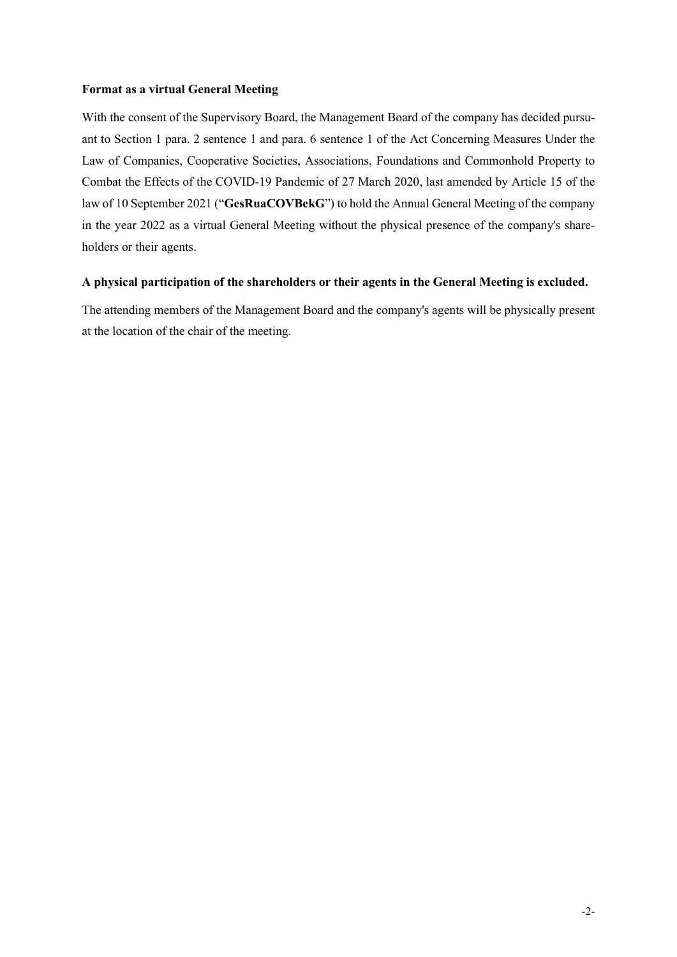#### Format as a virtual General Meeting

With the consent of the Supervisory Board, the Management Board of the company has decided pursuant to Section 1 para. 2 sentence 1 and para. 6 sentence 1 of the Act Concerning Measures Under the Law of Companies, Cooperative Societies, Associations, Foundations and Commonhold Property to Combat the Effects of the COVID-19 Pandemic of 27 March 2020, last amended by Article 15 of the law of 10 September 2021 ("GesRuaCOVBekG") to hold the Annual General Meeting of the company in the year 2022 as a virtual General Meeting without the physical presence of the company's shareholders or their agents.

## A physical participation of the shareholders or their agents in the General Meeting is excluded.

The attending members of the Management Board and the company's agents will be physically present at the location of the chair of the meeting.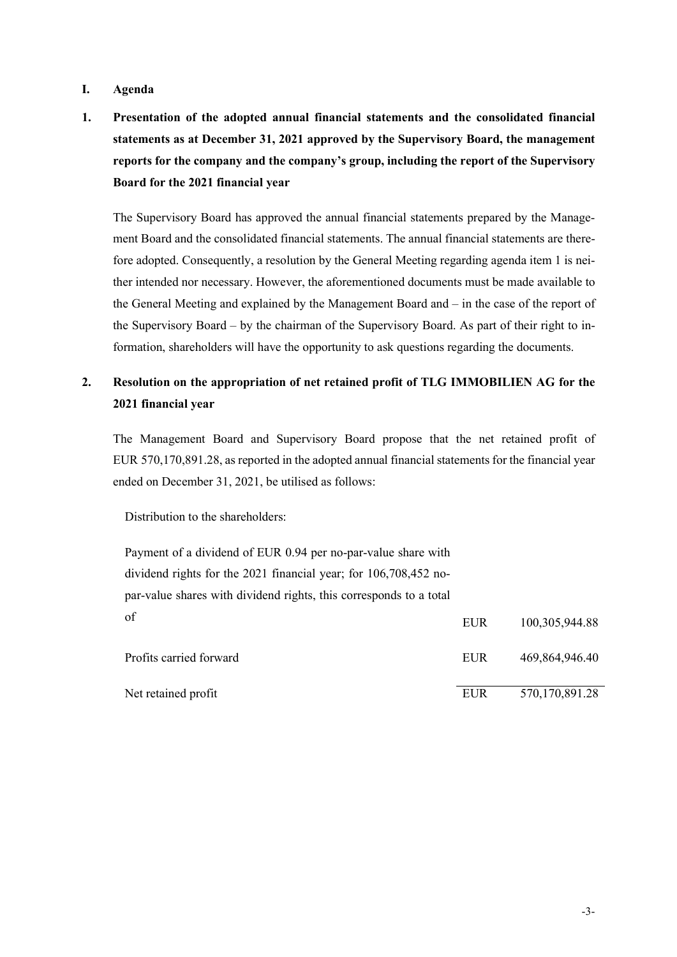- I. Agenda
- 1. Presentation of the adopted annual financial statements and the consolidated financial statements as at December 31, 2021 approved by the Supervisory Board, the management reports for the company and the company's group, including the report of the Supervisory Board for the 2021 financial year

The Supervisory Board has approved the annual financial statements prepared by the Management Board and the consolidated financial statements. The annual financial statements are therefore adopted. Consequently, a resolution by the General Meeting regarding agenda item 1 is neither intended nor necessary. However, the aforementioned documents must be made available to the General Meeting and explained by the Management Board and – in the case of the report of the Supervisory Board – by the chairman of the Supervisory Board. As part of their right to information, shareholders will have the opportunity to ask questions regarding the documents.

# 2. Resolution on the appropriation of net retained profit of TLG IMMOBILIEN AG for the 2021 financial year

The Management Board and Supervisory Board propose that the net retained profit of EUR 570,170,891.28, as reported in the adopted annual financial statements for the financial year ended on December 31, 2021, be utilised as follows:

Distribution to the shareholders:

| Payment of a dividend of EUR 0.94 per no-par-value share with      |            |                  |
|--------------------------------------------------------------------|------------|------------------|
| dividend rights for the 2021 financial year; for 106,708,452 no-   |            |                  |
| par-value shares with dividend rights, this corresponds to a total |            |                  |
| of                                                                 | <b>EUR</b> | 100, 305, 944.88 |
| Profits carried forward                                            | EUR        | 469,864,946.40   |
| Net retained profit                                                | EUR        | 570,170,891.28   |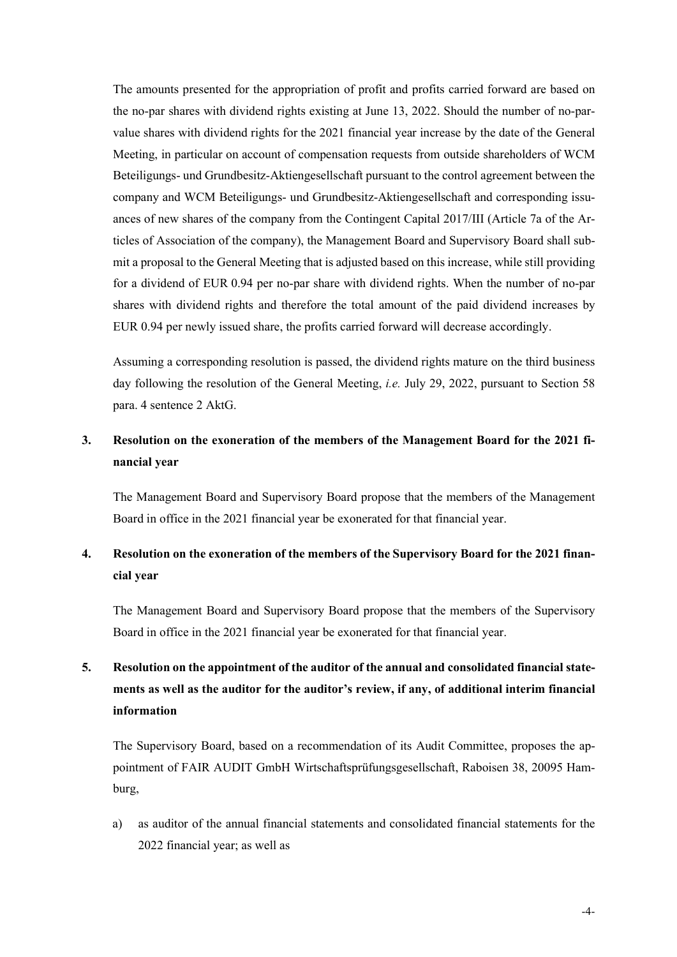The amounts presented for the appropriation of profit and profits carried forward are based on the no-par shares with dividend rights existing at June 13, 2022. Should the number of no-parvalue shares with dividend rights for the 2021 financial year increase by the date of the General Meeting, in particular on account of compensation requests from outside shareholders of WCM Beteiligungs- und Grundbesitz-Aktiengesellschaft pursuant to the control agreement between the company and WCM Beteiligungs- und Grundbesitz-Aktiengesellschaft and corresponding issuances of new shares of the company from the Contingent Capital 2017/III (Article 7a of the Articles of Association of the company), the Management Board and Supervisory Board shall submit a proposal to the General Meeting that is adjusted based on this increase, while still providing for a dividend of EUR 0.94 per no-par share with dividend rights. When the number of no-par shares with dividend rights and therefore the total amount of the paid dividend increases by EUR 0.94 per newly issued share, the profits carried forward will decrease accordingly.

Assuming a corresponding resolution is passed, the dividend rights mature on the third business day following the resolution of the General Meeting, *i.e.* July 29, 2022, pursuant to Section 58 para. 4 sentence 2 AktG.

# 3. Resolution on the exoneration of the members of the Management Board for the 2021 financial year

The Management Board and Supervisory Board propose that the members of the Management Board in office in the 2021 financial year be exonerated for that financial year.

# 4. Resolution on the exoneration of the members of the Supervisory Board for the 2021 financial year

The Management Board and Supervisory Board propose that the members of the Supervisory Board in office in the 2021 financial year be exonerated for that financial year.

# 5. Resolution on the appointment of the auditor of the annual and consolidated financial statements as well as the auditor for the auditor's review, if any, of additional interim financial information

The Supervisory Board, based on a recommendation of its Audit Committee, proposes the appointment of FAIR AUDIT GmbH Wirtschaftsprüfungsgesellschaft, Raboisen 38, 20095 Hamburg,

a) as auditor of the annual financial statements and consolidated financial statements for the 2022 financial year; as well as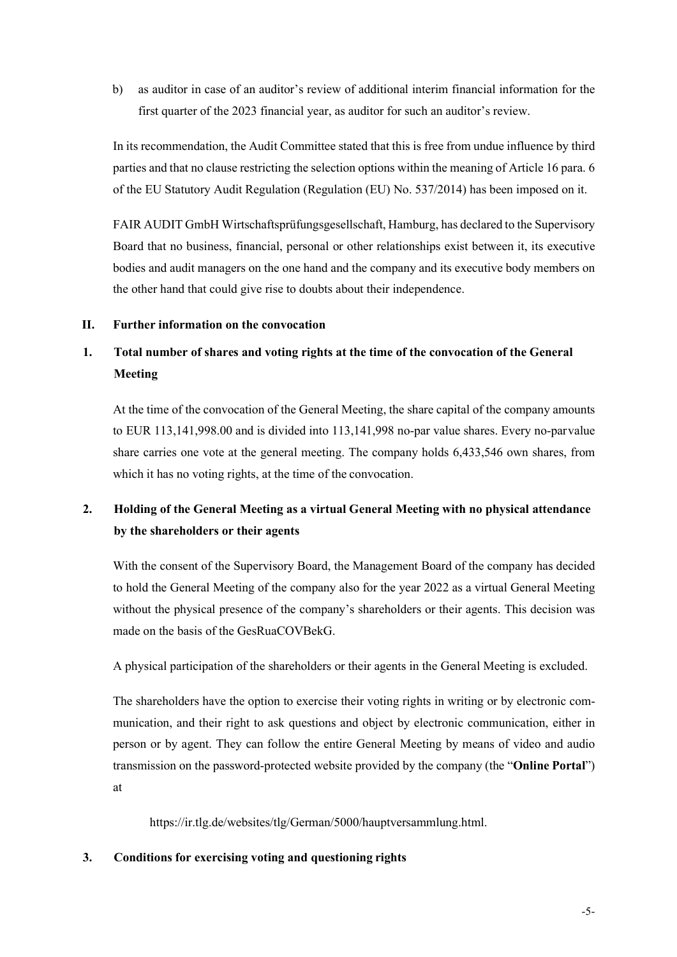b) as auditor in case of an auditor's review of additional interim financial information for the first quarter of the 2023 financial year, as auditor for such an auditor's review.

In its recommendation, the Audit Committee stated that this is free from undue influence by third parties and that no clause restricting the selection options within the meaning of Article 16 para. 6 of the EU Statutory Audit Regulation (Regulation (EU) No. 537/2014) has been imposed on it.

FAIR AUDIT GmbH Wirtschaftsprüfungsgesellschaft, Hamburg, has declared to the Supervisory Board that no business, financial, personal or other relationships exist between it, its executive bodies and audit managers on the one hand and the company and its executive body members on the other hand that could give rise to doubts about their independence.

## II. Further information on the convocation

# 1. Total number of shares and voting rights at the time of the convocation of the General Meeting

At the time of the convocation of the General Meeting, the share capital of the company amounts to EUR 113,141,998.00 and is divided into 113,141,998 no-par value shares. Every no-par value share carries one vote at the general meeting. The company holds 6,433,546 own shares, from which it has no voting rights, at the time of the convocation.

# 2. Holding of the General Meeting as a virtual General Meeting with no physical attendance by the shareholders or their agents

With the consent of the Supervisory Board, the Management Board of the company has decided to hold the General Meeting of the company also for the year 2022 as a virtual General Meeting without the physical presence of the company's shareholders or their agents. This decision was made on the basis of the GesRuaCOVBekG.

A physical participation of the shareholders or their agents in the General Meeting is excluded.

The shareholders have the option to exercise their voting rights in writing or by electronic communication, and their right to ask questions and object by electronic communication, either in person or by agent. They can follow the entire General Meeting by means of video and audio transmission on the password-protected website provided by the company (the "Online Portal") at

https://ir.tlg.de/websites/tlg/German/5000/hauptversammlung.html.

## 3. Conditions for exercising voting and questioning rights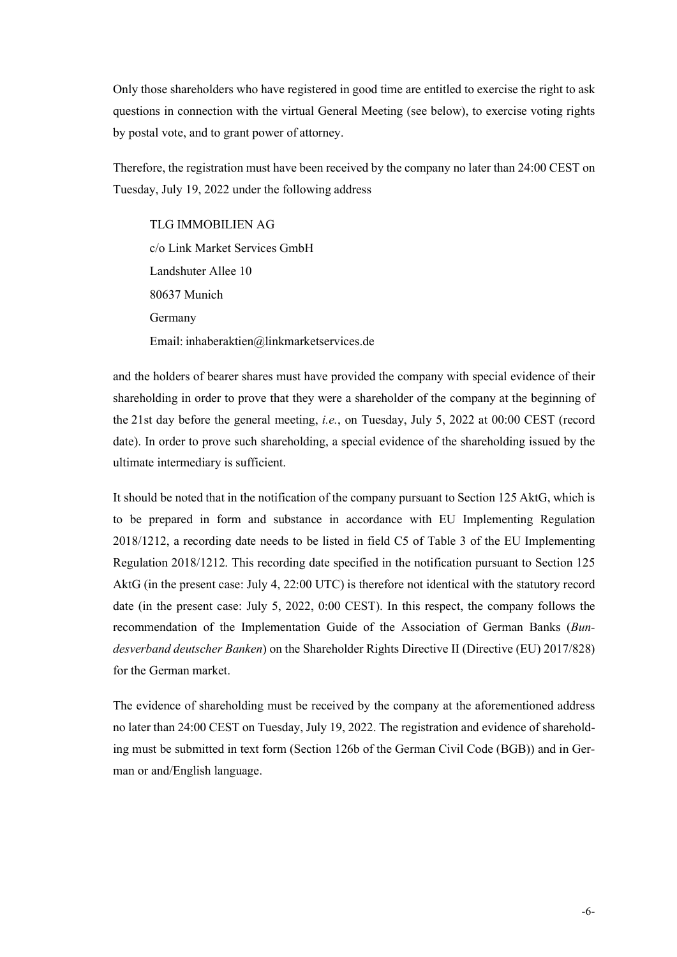Only those shareholders who have registered in good time are entitled to exercise the right to ask questions in connection with the virtual General Meeting (see below), to exercise voting rights by postal vote, and to grant power of attorney.

Therefore, the registration must have been received by the company no later than 24:00 CEST on Tuesday, July 19, 2022 under the following address

TLG IMMOBILIEN AG c/o Link Market Services GmbH Landshuter Allee 10 80637 Munich Germany Email: inhaberaktien@linkmarketservices.de

and the holders of bearer shares must have provided the company with special evidence of their shareholding in order to prove that they were a shareholder of the company at the beginning of the 21st day before the general meeting, i.e., on Tuesday, July 5, 2022 at 00:00 CEST (record date). In order to prove such shareholding, a special evidence of the shareholding issued by the ultimate intermediary is sufficient.

It should be noted that in the notification of the company pursuant to Section 125 AktG, which is to be prepared in form and substance in accordance with EU Implementing Regulation 2018/1212, a recording date needs to be listed in field C5 of Table 3 of the EU Implementing Regulation 2018/1212. This recording date specified in the notification pursuant to Section 125 AktG (in the present case: July 4, 22:00 UTC) is therefore not identical with the statutory record date (in the present case: July 5, 2022, 0:00 CEST). In this respect, the company follows the recommendation of the Implementation Guide of the Association of German Banks (Bundesverband deutscher Banken) on the Shareholder Rights Directive II (Directive (EU) 2017/828) for the German market.

The evidence of shareholding must be received by the company at the aforementioned address no later than 24:00 CEST on Tuesday, July 19, 2022. The registration and evidence of shareholding must be submitted in text form (Section 126b of the German Civil Code (BGB)) and in German or and/English language.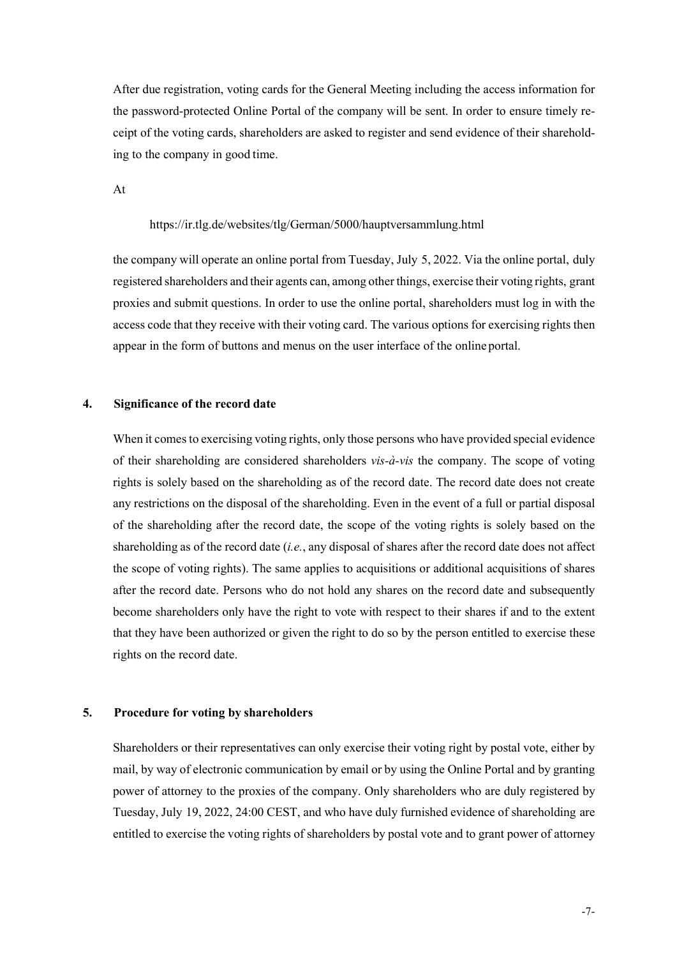After due registration, voting cards for the General Meeting including the access information for the password-protected Online Portal of the company will be sent. In order to ensure timely receipt of the voting cards, shareholders are asked to register and send evidence of their shareholding to the company in good time.

At

https://ir.tlg.de/websites/tlg/German/5000/hauptversammlung.html

the company will operate an online portal from Tuesday, July 5, 2022. Via the online portal, duly registered shareholders and their agents can, among other things, exercise their voting rights, grant proxies and submit questions. In order to use the online portal, shareholders must log in with the access code that they receive with their voting card. The various options for exercising rights then appear in the form of buttons and menus on the user interface of the online portal.

### 4. Significance of the record date

When it comes to exercising voting rights, only those persons who have provided special evidence of their shareholding are considered shareholders vis-à-vis the company. The scope of voting rights is solely based on the shareholding as of the record date. The record date does not create any restrictions on the disposal of the shareholding. Even in the event of a full or partial disposal of the shareholding after the record date, the scope of the voting rights is solely based on the shareholding as of the record date (i.e., any disposal of shares after the record date does not affect the scope of voting rights). The same applies to acquisitions or additional acquisitions of shares after the record date. Persons who do not hold any shares on the record date and subsequently become shareholders only have the right to vote with respect to their shares if and to the extent that they have been authorized or given the right to do so by the person entitled to exercise these rights on the record date.

#### 5. Procedure for voting by shareholders

Shareholders or their representatives can only exercise their voting right by postal vote, either by mail, by way of electronic communication by email or by using the Online Portal and by granting power of attorney to the proxies of the company. Only shareholders who are duly registered by Tuesday, July 19, 2022, 24:00 CEST, and who have duly furnished evidence of shareholding are entitled to exercise the voting rights of shareholders by postal vote and to grant power of attorney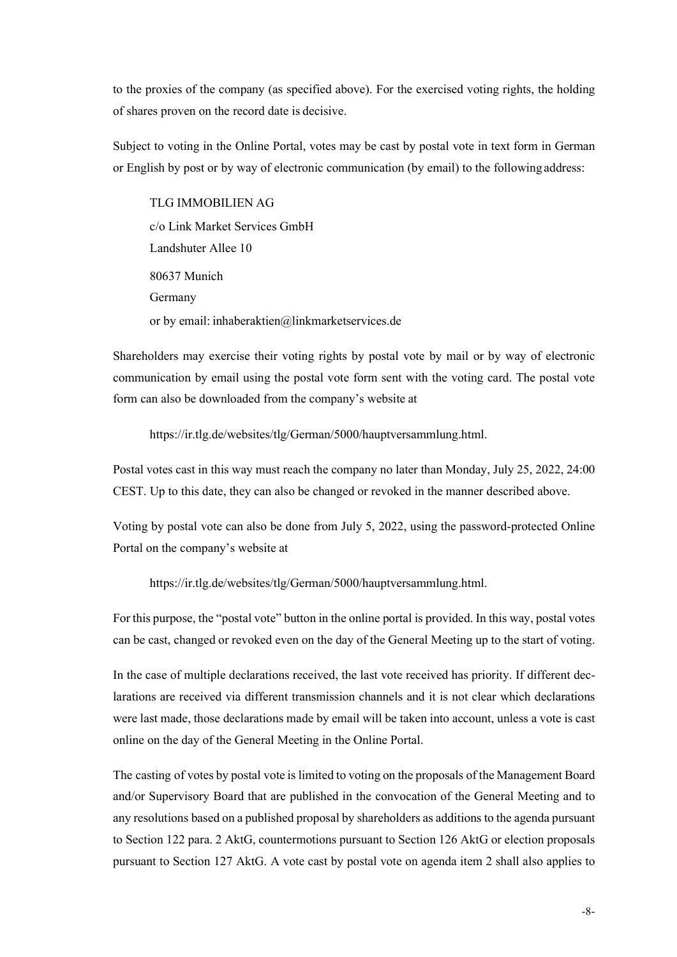to the proxies of the company (as specified above). For the exercised voting rights, the holding of shares proven on the record date is decisive.

Subject to voting in the Online Portal, votes may be cast by postal vote in text form in German or English by post or by way of electronic communication (by email) to the following address:

TLG IMMOBILIEN AG c/o Link Market Services GmbH Landshuter Allee 10 80637 Munich Germany or by email: inhaberaktien@linkmarketservices.de

Shareholders may exercise their voting rights by postal vote by mail or by way of electronic communication by email using the postal vote form sent with the voting card. The postal vote form can also be downloaded from the company's website at

https://ir.tlg.de/websites/tlg/German/5000/hauptversammlung.html.

Postal votes cast in this way must reach the company no later than Monday, July 25, 2022, 24:00 CEST. Up to this date, they can also be changed or revoked in the manner described above.

Voting by postal vote can also be done from July 5, 2022, using the password-protected Online Portal on the company's website at

https://ir.tlg.de/websites/tlg/German/5000/hauptversammlung.html.

For this purpose, the "postal vote" button in the online portal is provided. In this way, postal votes can be cast, changed or revoked even on the day of the General Meeting up to the start of voting.

In the case of multiple declarations received, the last vote received has priority. If different declarations are received via different transmission channels and it is not clear which declarations were last made, those declarations made by email will be taken into account, unless a vote is cast online on the day of the General Meeting in the Online Portal.

The casting of votes by postal vote is limited to voting on the proposals of the Management Board and/or Supervisory Board that are published in the convocation of the General Meeting and to any resolutions based on a published proposal by shareholders as additions to the agenda pursuant to Section 122 para. 2 AktG, countermotions pursuant to Section 126 AktG or election proposals pursuant to Section 127 AktG. A vote cast by postal vote on agenda item 2 shall also applies to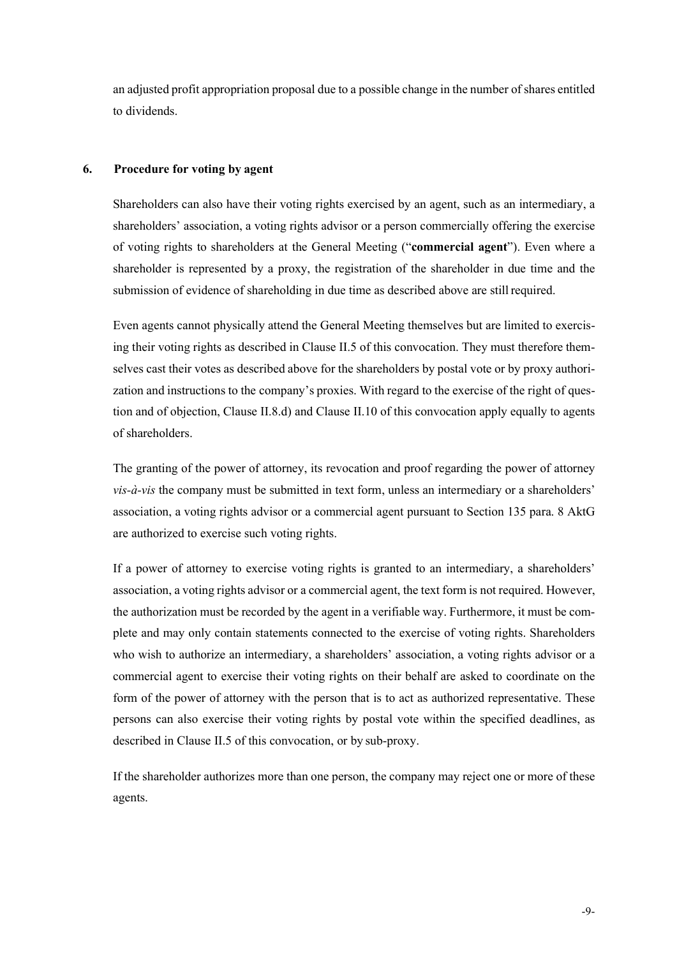an adjusted profit appropriation proposal due to a possible change in the number of shares entitled to dividends.

### 6. Procedure for voting by agent

Shareholders can also have their voting rights exercised by an agent, such as an intermediary, a shareholders' association, a voting rights advisor or a person commercially offering the exercise of voting rights to shareholders at the General Meeting ("commercial agent"). Even where a shareholder is represented by a proxy, the registration of the shareholder in due time and the submission of evidence of shareholding in due time as described above are still required.

Even agents cannot physically attend the General Meeting themselves but are limited to exercising their voting rights as described in Clause II.5 of this convocation. They must therefore themselves cast their votes as described above for the shareholders by postal vote or by proxy authorization and instructions to the company's proxies. With regard to the exercise of the right of question and of objection, Clause II.8.d) and Clause II.10 of this convocation apply equally to agents of shareholders.

The granting of the power of attorney, its revocation and proof regarding the power of attorney vis-à-vis the company must be submitted in text form, unless an intermediary or a shareholders' association, a voting rights advisor or a commercial agent pursuant to Section 135 para. 8 AktG are authorized to exercise such voting rights.

If a power of attorney to exercise voting rights is granted to an intermediary, a shareholders' association, a voting rights advisor or a commercial agent, the text form is not required. However, the authorization must be recorded by the agent in a verifiable way. Furthermore, it must be complete and may only contain statements connected to the exercise of voting rights. Shareholders who wish to authorize an intermediary, a shareholders' association, a voting rights advisor or a commercial agent to exercise their voting rights on their behalf are asked to coordinate on the form of the power of attorney with the person that is to act as authorized representative. These persons can also exercise their voting rights by postal vote within the specified deadlines, as described in Clause II.5 of this convocation, or by sub-proxy.

If the shareholder authorizes more than one person, the company may reject one or more of these agents.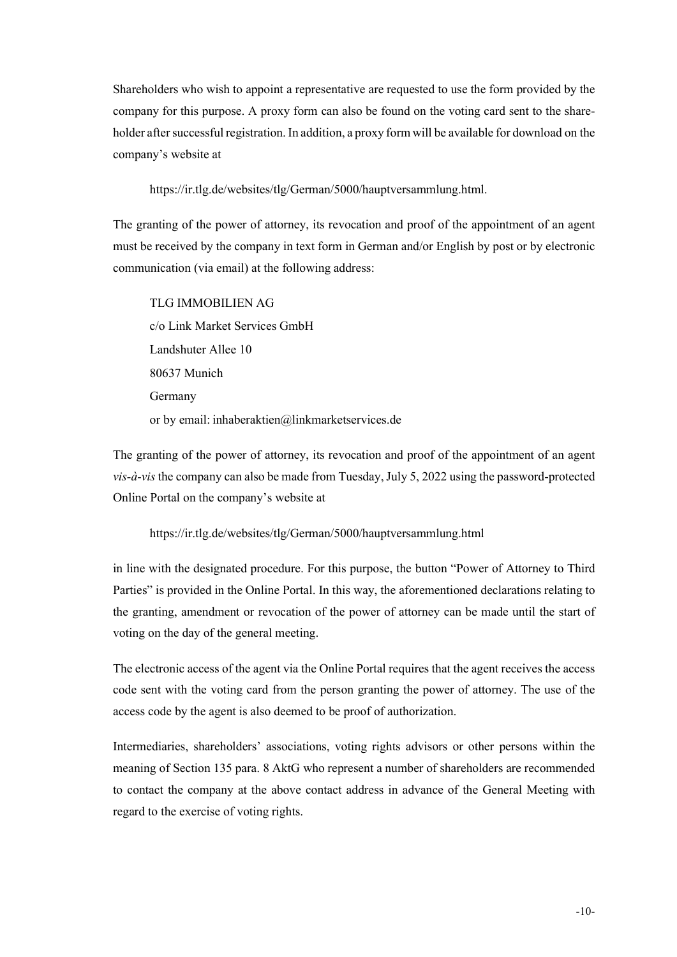Shareholders who wish to appoint a representative are requested to use the form provided by the company for this purpose. A proxy form can also be found on the voting card sent to the shareholder after successful registration. In addition, a proxy form will be available for download on the company's website at

https://ir.tlg.de/websites/tlg/German/5000/hauptversammlung.html.

The granting of the power of attorney, its revocation and proof of the appointment of an agent must be received by the company in text form in German and/or English by post or by electronic communication (via email) at the following address:

TLG IMMOBILIEN AG c/o Link Market Services GmbH Landshuter Allee 10 80637 Munich Germany or by email: inhaberaktien@linkmarketservices.de

The granting of the power of attorney, its revocation and proof of the appointment of an agent vis-à-vis the company can also be made from Tuesday, July 5, 2022 using the password-protected Online Portal on the company's website at

https://ir.tlg.de/websites/tlg/German/5000/hauptversammlung.html

in line with the designated procedure. For this purpose, the button "Power of Attorney to Third Parties" is provided in the Online Portal. In this way, the aforementioned declarations relating to the granting, amendment or revocation of the power of attorney can be made until the start of voting on the day of the general meeting.

The electronic access of the agent via the Online Portal requires that the agent receives the access code sent with the voting card from the person granting the power of attorney. The use of the access code by the agent is also deemed to be proof of authorization.

Intermediaries, shareholders' associations, voting rights advisors or other persons within the meaning of Section 135 para. 8 AktG who represent a number of shareholders are recommended to contact the company at the above contact address in advance of the General Meeting with regard to the exercise of voting rights.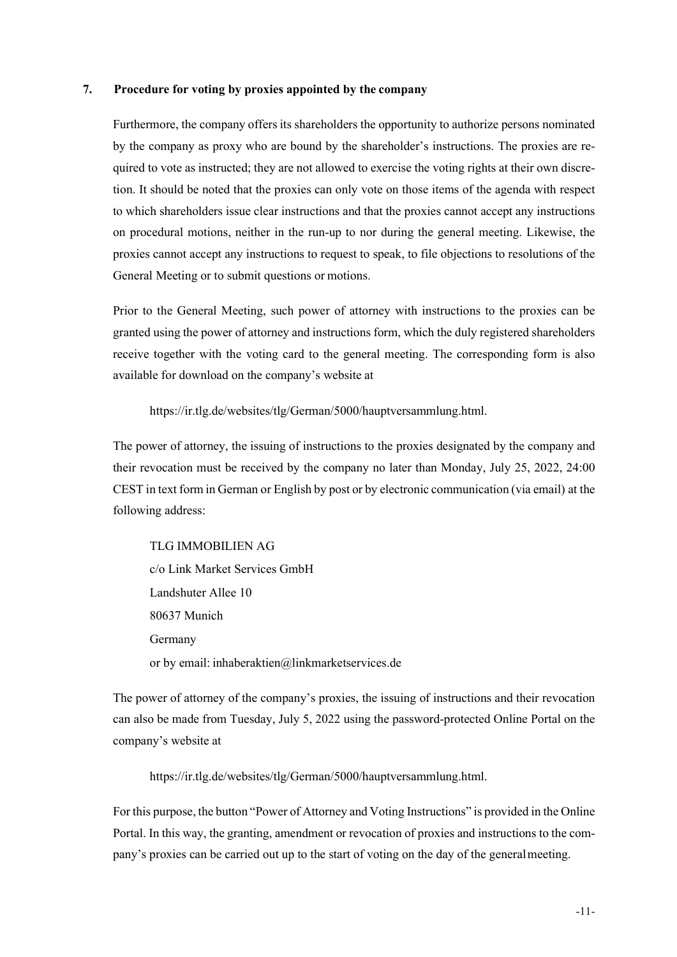#### 7. Procedure for voting by proxies appointed by the company

Furthermore, the company offers its shareholders the opportunity to authorize persons nominated by the company as proxy who are bound by the shareholder's instructions. The proxies are required to vote as instructed; they are not allowed to exercise the voting rights at their own discretion. It should be noted that the proxies can only vote on those items of the agenda with respect to which shareholders issue clear instructions and that the proxies cannot accept any instructions on procedural motions, neither in the run-up to nor during the general meeting. Likewise, the proxies cannot accept any instructions to request to speak, to file objections to resolutions of the General Meeting or to submit questions or motions.

Prior to the General Meeting, such power of attorney with instructions to the proxies can be granted using the power of attorney and instructions form, which the duly registered shareholders receive together with the voting card to the general meeting. The corresponding form is also available for download on the company's website at

https://ir.tlg.de/websites/tlg/German/5000/hauptversammlung.html.

The power of attorney, the issuing of instructions to the proxies designated by the company and their revocation must be received by the company no later than Monday, July 25, 2022, 24:00 CEST in text form in German or English by post or by electronic communication (via email) at the following address:

TLG IMMOBILIEN AG c/o Link Market Services GmbH Landshuter Allee 10 80637 Munich Germany or by email: inhaberaktien@linkmarketservices.de

The power of attorney of the company's proxies, the issuing of instructions and their revocation can also be made from Tuesday, July 5, 2022 using the password-protected Online Portal on the company's website at

https://ir.tlg.de/websites/tlg/German/5000/hauptversammlung.html.

For this purpose, the button "Power of Attorney and Voting Instructions" is provided in the Online Portal. In this way, the granting, amendment or revocation of proxies and instructions to the company's proxies can be carried out up to the start of voting on the day of the general meeting.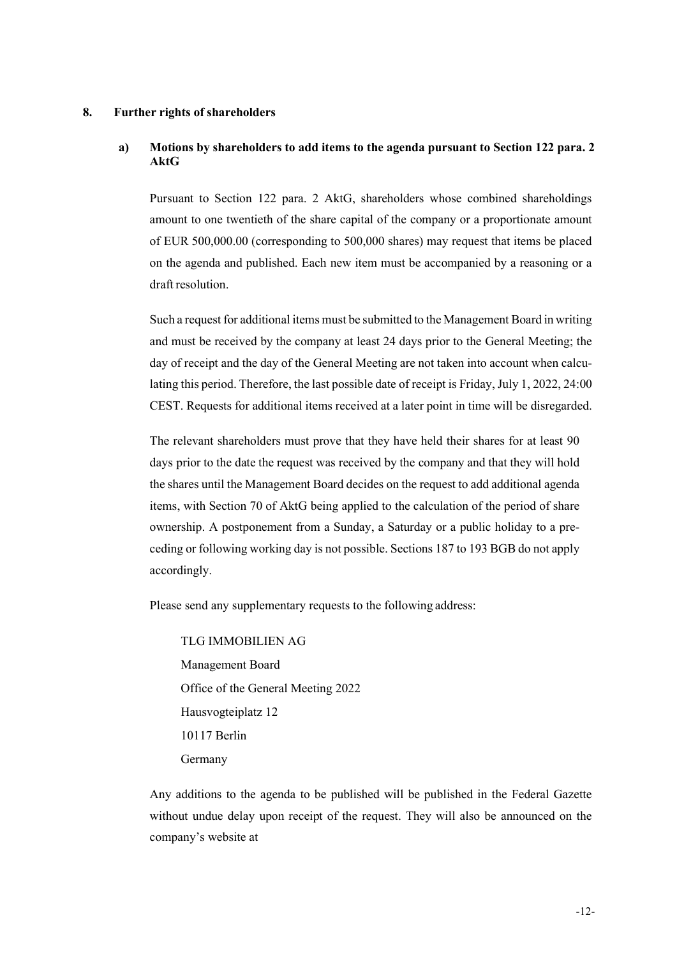#### 8. Further rights of shareholders

### a) Motions by shareholders to add items to the agenda pursuant to Section 122 para. 2 AktG

Pursuant to Section 122 para. 2 AktG, shareholders whose combined shareholdings amount to one twentieth of the share capital of the company or a proportionate amount of EUR 500,000.00 (corresponding to 500,000 shares) may request that items be placed on the agenda and published. Each new item must be accompanied by a reasoning or a draft resolution.

Such a request for additional items must be submitted to the Management Board in writing and must be received by the company at least 24 days prior to the General Meeting; the day of receipt and the day of the General Meeting are not taken into account when calculating this period. Therefore, the last possible date of receipt is Friday, July 1, 2022, 24:00 CEST. Requests for additional items received at a later point in time will be disregarded.

The relevant shareholders must prove that they have held their shares for at least 90 days prior to the date the request was received by the company and that they will hold the shares until the Management Board decides on the request to add additional agenda items, with Section 70 of AktG being applied to the calculation of the period of share ownership. A postponement from a Sunday, a Saturday or a public holiday to a preceding or following working day is not possible. Sections 187 to 193 BGB do not apply accordingly.

Please send any supplementary requests to the following address:

TLG IMMOBILIEN AG Management Board Office of the General Meeting 2022 Hausvogteiplatz 12 10117 Berlin Germany

Any additions to the agenda to be published will be published in the Federal Gazette without undue delay upon receipt of the request. They will also be announced on the company's website at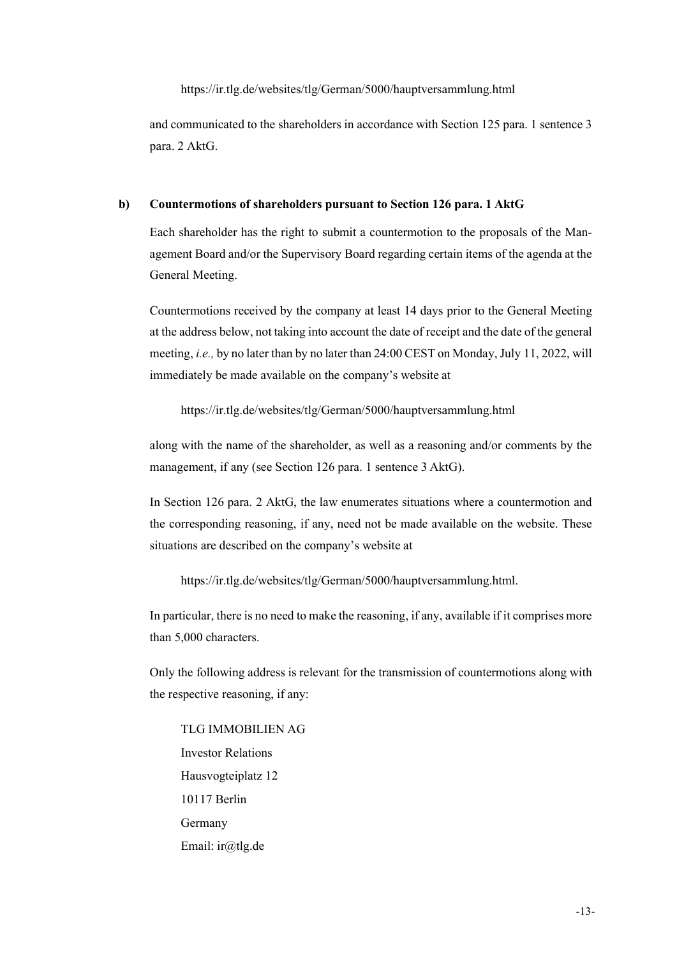#### https://ir.tlg.de/websites/tlg/German/5000/hauptversammlung.html

and communicated to the shareholders in accordance with Section 125 para. 1 sentence 3 para. 2 AktG.

#### b) Countermotions of shareholders pursuant to Section 126 para. 1 AktG

Each shareholder has the right to submit a countermotion to the proposals of the Management Board and/or the Supervisory Board regarding certain items of the agenda at the General Meeting.

Countermotions received by the company at least 14 days prior to the General Meeting at the address below, not taking into account the date of receipt and the date of the general meeting, i.e., by no later than by no later than 24:00 CEST on Monday, July 11, 2022, will immediately be made available on the company's website at

https://ir.tlg.de/websites/tlg/German/5000/hauptversammlung.html

along with the name of the shareholder, as well as a reasoning and/or comments by the management, if any (see Section 126 para. 1 sentence 3 AktG).

In Section 126 para. 2 AktG, the law enumerates situations where a countermotion and the corresponding reasoning, if any, need not be made available on the website. These situations are described on the company's website at

https://ir.tlg.de/websites/tlg/German/5000/hauptversammlung.html.

In particular, there is no need to make the reasoning, if any, available if it comprises more than 5,000 characters.

Only the following address is relevant for the transmission of countermotions along with the respective reasoning, if any:

TLG IMMOBILIEN AG Investor Relations Hausvogteiplatz 12 10117 Berlin Germany Email: ir@tlg.de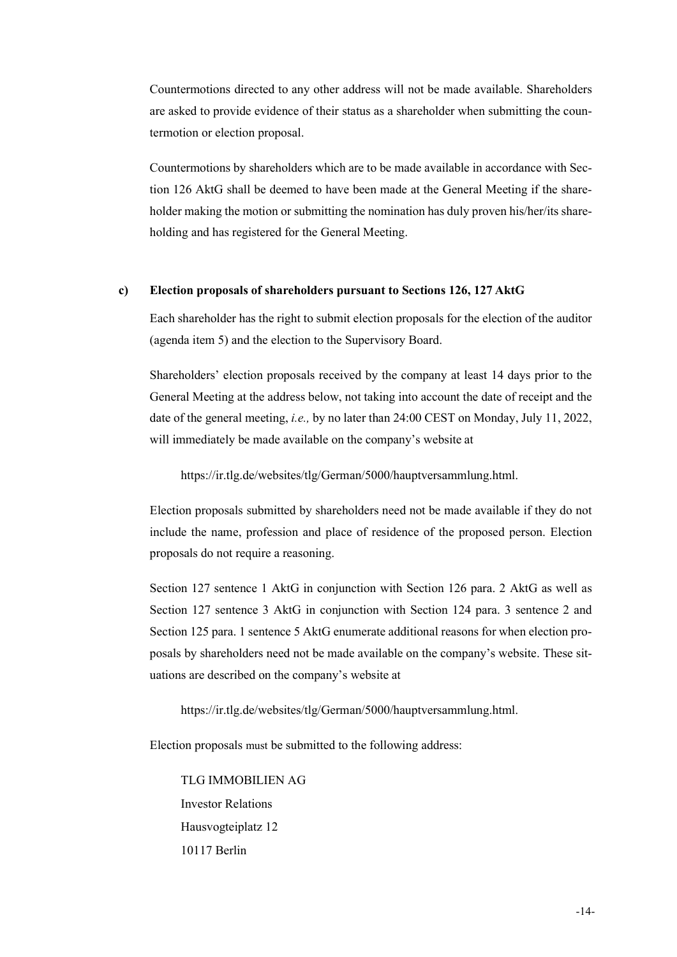Countermotions directed to any other address will not be made available. Shareholders are asked to provide evidence of their status as a shareholder when submitting the countermotion or election proposal.

Countermotions by shareholders which are to be made available in accordance with Section 126 AktG shall be deemed to have been made at the General Meeting if the shareholder making the motion or submitting the nomination has duly proven his/her/its shareholding and has registered for the General Meeting.

#### c) Election proposals of shareholders pursuant to Sections 126, 127 AktG

Each shareholder has the right to submit election proposals for the election of the auditor (agenda item 5) and the election to the Supervisory Board.

Shareholders' election proposals received by the company at least 14 days prior to the General Meeting at the address below, not taking into account the date of receipt and the date of the general meeting, i.e., by no later than 24:00 CEST on Monday, July 11, 2022, will immediately be made available on the company's website at

https://ir.tlg.de/websites/tlg/German/5000/hauptversammlung.html.

Election proposals submitted by shareholders need not be made available if they do not include the name, profession and place of residence of the proposed person. Election proposals do not require a reasoning.

Section 127 sentence 1 AktG in conjunction with Section 126 para. 2 AktG as well as Section 127 sentence 3 AktG in conjunction with Section 124 para. 3 sentence 2 and Section 125 para. 1 sentence 5 AktG enumerate additional reasons for when election proposals by shareholders need not be made available on the company's website. These situations are described on the company's website at

https://ir.tlg.de/websites/tlg/German/5000/hauptversammlung.html.

Election proposals must be submitted to the following address:

TLG IMMOBILIEN AG Investor Relations Hausvogteiplatz 12 10117 Berlin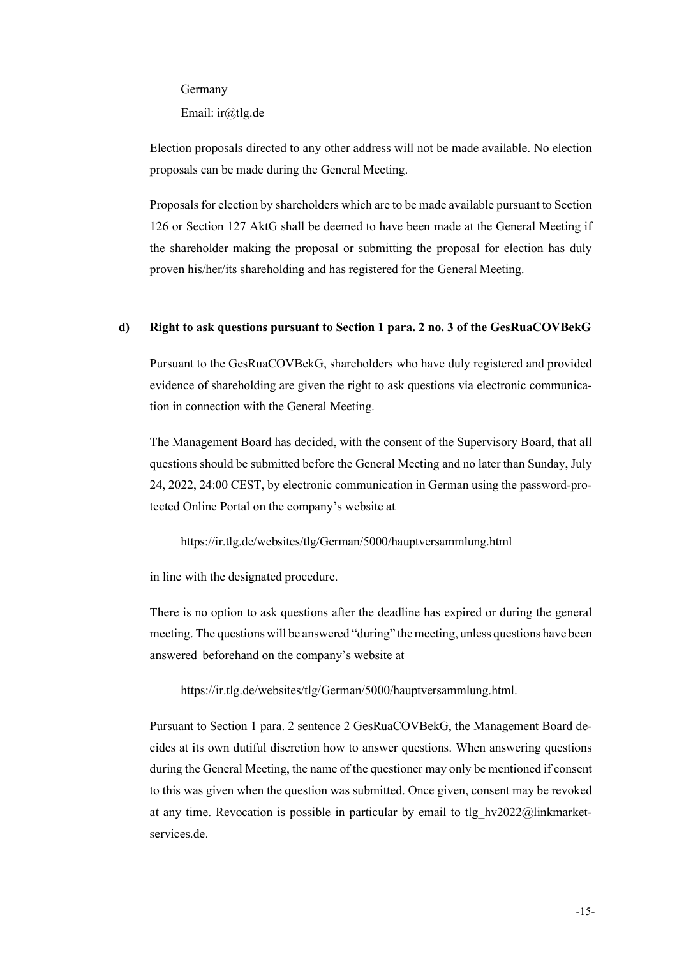Germany

Email: ir@tlg.de

Election proposals directed to any other address will not be made available. No election proposals can be made during the General Meeting.

Proposals for election by shareholders which are to be made available pursuant to Section 126 or Section 127 AktG shall be deemed to have been made at the General Meeting if the shareholder making the proposal or submitting the proposal for election has duly proven his/her/its shareholding and has registered for the General Meeting.

#### d) Right to ask questions pursuant to Section 1 para. 2 no. 3 of the GesRuaCOVBekG

Pursuant to the GesRuaCOVBekG, shareholders who have duly registered and provided evidence of shareholding are given the right to ask questions via electronic communication in connection with the General Meeting.

The Management Board has decided, with the consent of the Supervisory Board, that all questions should be submitted before the General Meeting and no later than Sunday, July 24, 2022, 24:00 CEST, by electronic communication in German using the password-protected Online Portal on the company's website at

https://ir.tlg.de/websites/tlg/German/5000/hauptversammlung.html

in line with the designated procedure.

There is no option to ask questions after the deadline has expired or during the general meeting. The questions will be answered "during" the meeting, unless questions have been answered beforehand on the company's website at

https://ir.tlg.de/websites/tlg/German/5000/hauptversammlung.html.

Pursuant to Section 1 para. 2 sentence 2 GesRuaCOVBekG, the Management Board decides at its own dutiful discretion how to answer questions. When answering questions during the General Meeting, the name of the questioner may only be mentioned if consent to this was given when the question was submitted. Once given, consent may be revoked at any time. Revocation is possible in particular by email to tlg  $hv2022@$ linkmarketservices.de.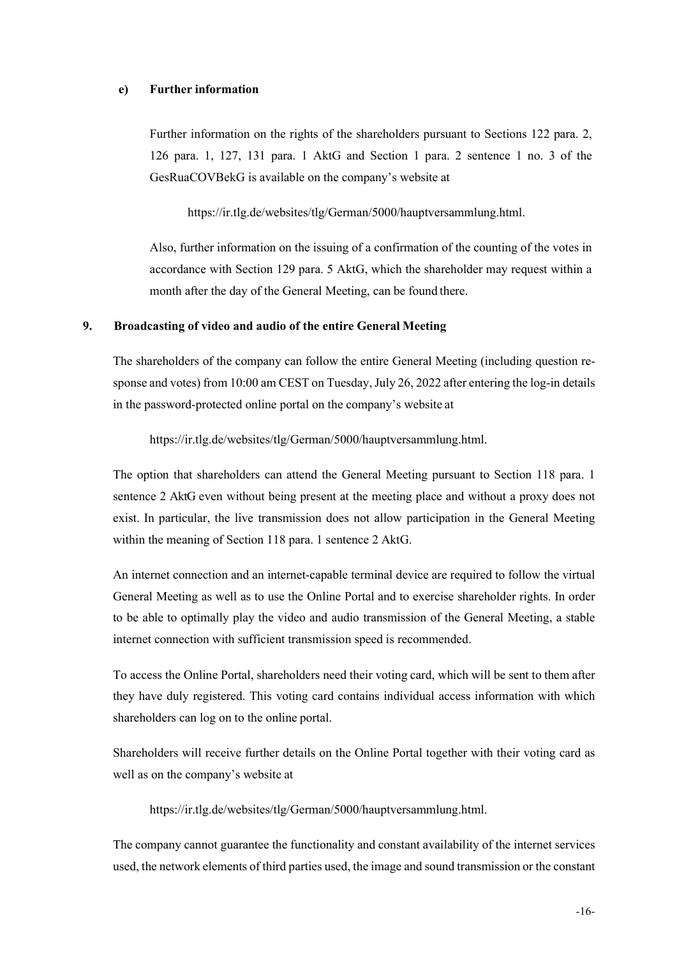#### e) Further information

Further information on the rights of the shareholders pursuant to Sections 122 para. 2, 126 para. 1, 127, 131 para. 1 AktG and Section 1 para. 2 sentence 1 no. 3 of the GesRuaCOVBekG is available on the company's website at

https://ir.tlg.de/websites/tlg/German/5000/hauptversammlung.html.

Also, further information on the issuing of a confirmation of the counting of the votes in accordance with Section 129 para. 5 AktG, which the shareholder may request within a month after the day of the General Meeting, can be found there.

#### 9. Broadcasting of video and audio of the entire General Meeting

The shareholders of the company can follow the entire General Meeting (including question response and votes) from 10:00 am CEST on Tuesday, July 26, 2022 after entering the log-in details in the password-protected online portal on the company's website at

https://ir.tlg.de/websites/tlg/German/5000/hauptversammlung.html.

The option that shareholders can attend the General Meeting pursuant to Section 118 para. 1 sentence 2 AktG even without being present at the meeting place and without a proxy does not exist. In particular, the live transmission does not allow participation in the General Meeting within the meaning of Section 118 para. 1 sentence 2 AktG.

An internet connection and an internet-capable terminal device are required to follow the virtual General Meeting as well as to use the Online Portal and to exercise shareholder rights. In order to be able to optimally play the video and audio transmission of the General Meeting, a stable internet connection with sufficient transmission speed is recommended.

To access the Online Portal, shareholders need their voting card, which will be sent to them after they have duly registered. This voting card contains individual access information with which shareholders can log on to the online portal.

Shareholders will receive further details on the Online Portal together with their voting card as well as on the company's website at

https://ir.tlg.de/websites/tlg/German/5000/hauptversammlung.html.

The company cannot guarantee the functionality and constant availability of the internet services used, the network elements of third parties used, the image and sound transmission or the constant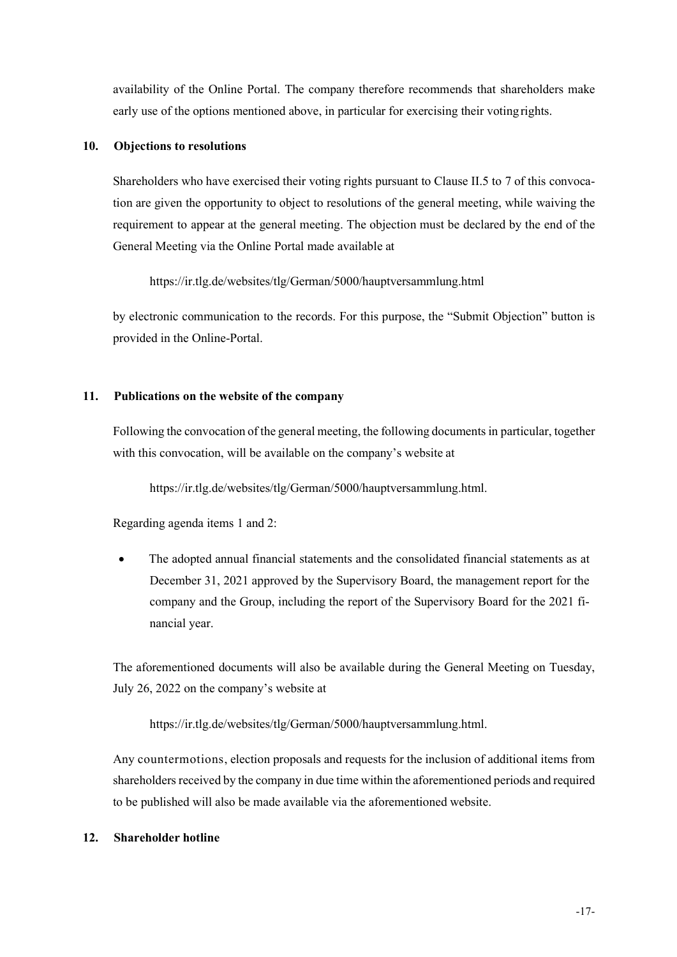availability of the Online Portal. The company therefore recommends that shareholders make early use of the options mentioned above, in particular for exercising their voting rights.

### 10. Objections to resolutions

Shareholders who have exercised their voting rights pursuant to Clause II.5 to 7 of this convocation are given the opportunity to object to resolutions of the general meeting, while waiving the requirement to appear at the general meeting. The objection must be declared by the end of the General Meeting via the Online Portal made available at

https://ir.tlg.de/websites/tlg/German/5000/hauptversammlung.html

by electronic communication to the records. For this purpose, the "Submit Objection" button is provided in the Online-Portal.

## 11. Publications on the website of the company

Following the convocation of the general meeting, the following documents in particular, together with this convocation, will be available on the company's website at

https://ir.tlg.de/websites/tlg/German/5000/hauptversammlung.html.

Regarding agenda items 1 and 2:

 The adopted annual financial statements and the consolidated financial statements as at December 31, 2021 approved by the Supervisory Board, the management report for the company and the Group, including the report of the Supervisory Board for the 2021 financial year.

The aforementioned documents will also be available during the General Meeting on Tuesday, July 26, 2022 on the company's website at

https://ir.tlg.de/websites/tlg/German/5000/hauptversammlung.html.

Any countermotions, election proposals and requests for the inclusion of additional items from shareholders received by the company in due time within the aforementioned periods and required to be published will also be made available via the aforementioned website.

## 12. Shareholder hotline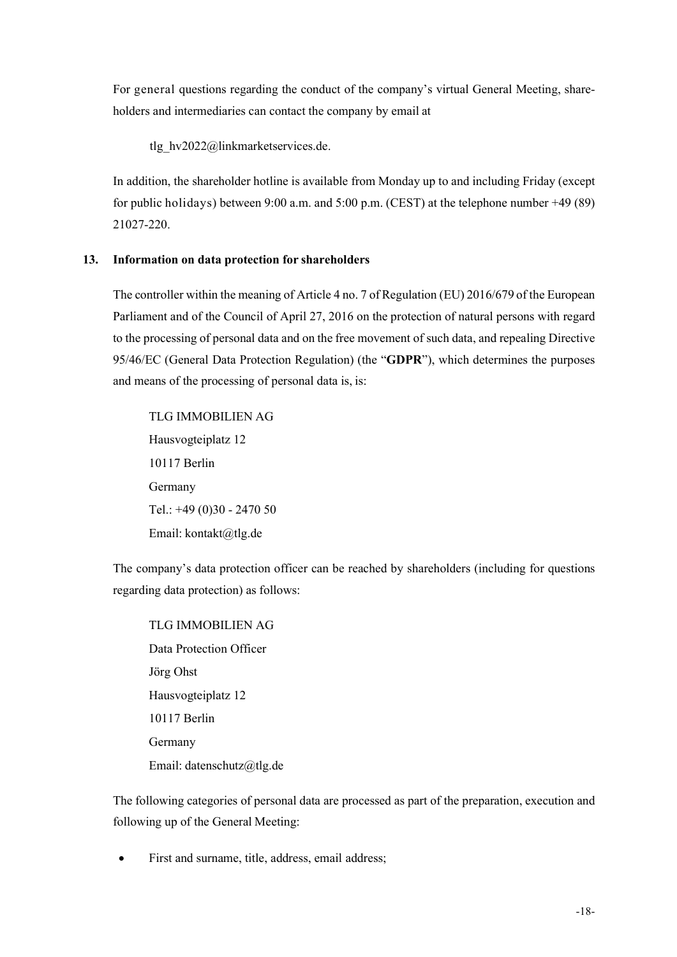For general questions regarding the conduct of the company's virtual General Meeting, shareholders and intermediaries can contact the company by email at

tlg\_hv2022@linkmarketservices.de.

In addition, the shareholder hotline is available from Monday up to and including Friday (except for public holidays) between 9:00 a.m. and 5:00 p.m. (CEST) at the telephone number +49 (89) 21027-220.

# 13. Information on data protection for shareholders

The controller within the meaning of Article 4 no. 7 of Regulation (EU) 2016/679 of the European Parliament and of the Council of April 27, 2016 on the protection of natural persons with regard to the processing of personal data and on the free movement of such data, and repealing Directive 95/46/EC (General Data Protection Regulation) (the "GDPR"), which determines the purposes and means of the processing of personal data is, is:

TLG IMMOBILIEN AG Hausvogteiplatz 12 10117 Berlin Germany Tel.: +49 (0)30 - 2470 50 Email: kontakt@tlg.de

The company's data protection officer can be reached by shareholders (including for questions regarding data protection) as follows:

TLG IMMOBILIEN AG Data Protection Officer Jörg Ohst Hausvogteiplatz 12 10117 Berlin Germany Email: datenschutz@tlg.de

The following categories of personal data are processed as part of the preparation, execution and following up of the General Meeting:

First and surname, title, address, email address;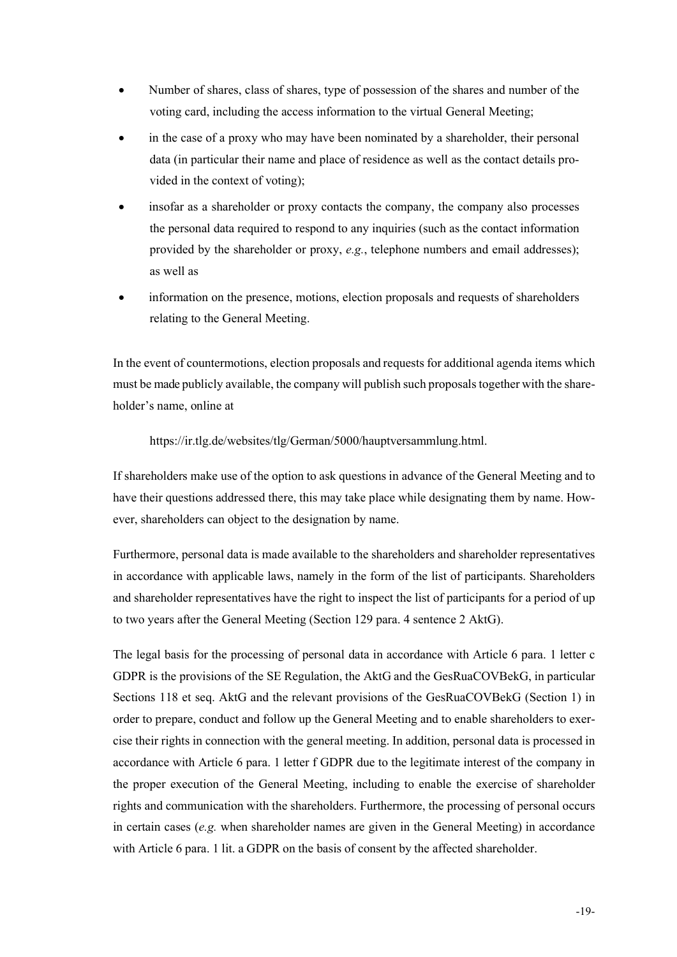- Number of shares, class of shares, type of possession of the shares and number of the voting card, including the access information to the virtual General Meeting;
- in the case of a proxy who may have been nominated by a shareholder, their personal data (in particular their name and place of residence as well as the contact details provided in the context of voting);
- insofar as a shareholder or proxy contacts the company, the company also processes the personal data required to respond to any inquiries (such as the contact information provided by the shareholder or proxy,  $e.g.,$  telephone numbers and email addresses); as well as
- information on the presence, motions, election proposals and requests of shareholders relating to the General Meeting.

In the event of countermotions, election proposals and requests for additional agenda items which must be made publicly available, the company will publish such proposals together with the shareholder's name, online at

https://ir.tlg.de/websites/tlg/German/5000/hauptversammlung.html.

If shareholders make use of the option to ask questions in advance of the General Meeting and to have their questions addressed there, this may take place while designating them by name. However, shareholders can object to the designation by name.

Furthermore, personal data is made available to the shareholders and shareholder representatives in accordance with applicable laws, namely in the form of the list of participants. Shareholders and shareholder representatives have the right to inspect the list of participants for a period of up to two years after the General Meeting (Section 129 para. 4 sentence 2 AktG).

The legal basis for the processing of personal data in accordance with Article 6 para. 1 letter c GDPR is the provisions of the SE Regulation, the AktG and the GesRuaCOVBekG, in particular Sections 118 et seq. AktG and the relevant provisions of the GesRuaCOVBekG (Section 1) in order to prepare, conduct and follow up the General Meeting and to enable shareholders to exercise their rights in connection with the general meeting. In addition, personal data is processed in accordance with Article 6 para. 1 letter f GDPR due to the legitimate interest of the company in the proper execution of the General Meeting, including to enable the exercise of shareholder rights and communication with the shareholders. Furthermore, the processing of personal occurs in certain cases (e.g. when shareholder names are given in the General Meeting) in accordance with Article 6 para. 1 lit. a GDPR on the basis of consent by the affected shareholder.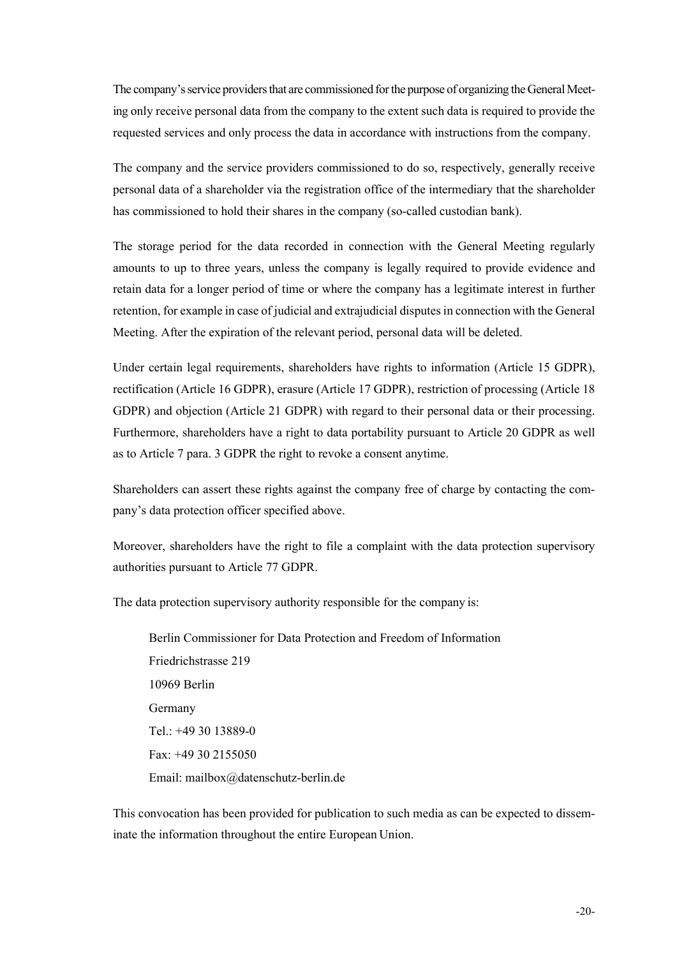The company's service providers that are commissioned for the purpose of organizing the General Meeting only receive personal data from the company to the extent such data is required to provide the requested services and only process the data in accordance with instructions from the company.

The company and the service providers commissioned to do so, respectively, generally receive personal data of a shareholder via the registration office of the intermediary that the shareholder has commissioned to hold their shares in the company (so-called custodian bank).

The storage period for the data recorded in connection with the General Meeting regularly amounts to up to three years, unless the company is legally required to provide evidence and retain data for a longer period of time or where the company has a legitimate interest in further retention, for example in case of judicial and extrajudicial disputes in connection with the General Meeting. After the expiration of the relevant period, personal data will be deleted.

Under certain legal requirements, shareholders have rights to information (Article 15 GDPR), rectification (Article 16 GDPR), erasure (Article 17 GDPR), restriction of processing (Article 18 GDPR) and objection (Article 21 GDPR) with regard to their personal data or their processing. Furthermore, shareholders have a right to data portability pursuant to Article 20 GDPR as well as to Article 7 para. 3 GDPR the right to revoke a consent anytime.

Shareholders can assert these rights against the company free of charge by contacting the company's data protection officer specified above.

Moreover, shareholders have the right to file a complaint with the data protection supervisory authorities pursuant to Article 77 GDPR.

The data protection supervisory authority responsible for the company is:

Berlin Commissioner for Data Protection and Freedom of Information Friedrichstrasse 219 10969 Berlin Germany Tel.: +49 30 13889-0 Fax: +49 30 2155050 Email: mailbox@datenschutz-berlin.de

This convocation has been provided for publication to such media as can be expected to disseminate the information throughout the entire European Union.